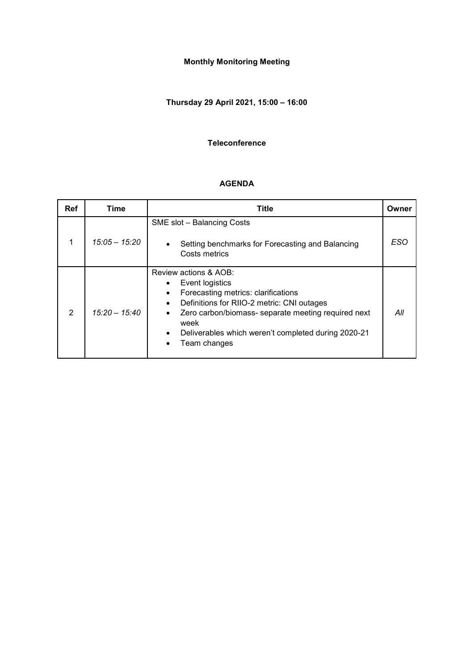# **Monthly Monitoring Meeting**

# **Thursday 29 April 2021, 15:00 – 16:00**

#### **Teleconference**

#### **AGENDA**

| <b>Ref</b> | Time            | Title                                                                                                                                                                                                                                                                                                                   |     |  |
|------------|-----------------|-------------------------------------------------------------------------------------------------------------------------------------------------------------------------------------------------------------------------------------------------------------------------------------------------------------------------|-----|--|
|            | $15:05 - 15:20$ | SME slot - Balancing Costs<br>Setting benchmarks for Forecasting and Balancing<br>Costs metrics                                                                                                                                                                                                                         | ESO |  |
| 2          | $15:20 - 15:40$ | Review actions & AOB:<br>Event logistics<br>$\bullet$<br>Forecasting metrics: clarifications<br>$\bullet$<br>Definitions for RIIO-2 metric: CNI outages<br>Zero carbon/biomass- separate meeting required next<br>$\bullet$<br>week<br>Deliverables which weren't completed during 2020-21<br>$\bullet$<br>Team changes | All |  |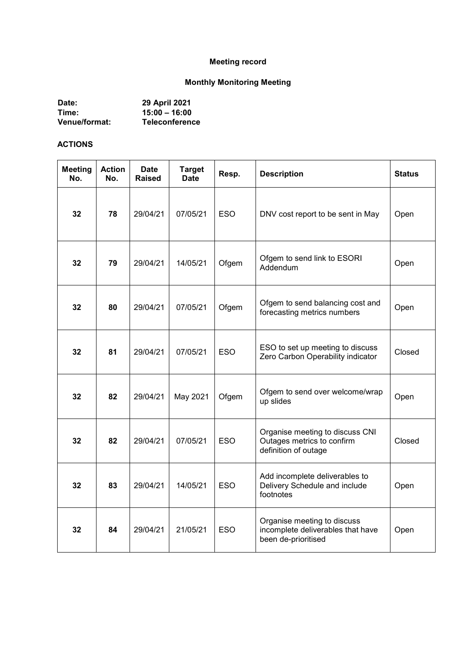# **Meeting record**

# **Monthly Monitoring Meeting**

| Date:                | 29 April 2021         |
|----------------------|-----------------------|
| Time:                | $15:00 - 16:00$       |
| <b>Venue/format:</b> | <b>Teleconference</b> |

#### **ACTIONS**

| <b>Meeting</b><br>No. | <b>Action</b><br>No. | Date<br><b>Raised</b> | <b>Target</b><br><b>Date</b> | Resp.      | <b>Description</b>                                                                      | <b>Status</b> |
|-----------------------|----------------------|-----------------------|------------------------------|------------|-----------------------------------------------------------------------------------------|---------------|
| 32                    | 78                   | 29/04/21              | 07/05/21                     | <b>ESO</b> | DNV cost report to be sent in May                                                       | Open          |
| 32                    | 79                   | 29/04/21              | 14/05/21                     | Ofgem      | Ofgem to send link to ESORI<br>Addendum                                                 | Open          |
| 32                    | 80                   | 29/04/21              | 07/05/21                     | Ofgem      | Ofgem to send balancing cost and<br>forecasting metrics numbers                         | Open          |
| 32                    | 81                   | 29/04/21              | 07/05/21                     | <b>ESO</b> | ESO to set up meeting to discuss<br>Zero Carbon Operability indicator                   | Closed        |
| 32                    | 82                   | 29/04/21              | May 2021                     | Ofgem      | Ofgem to send over welcome/wrap<br>up slides                                            | Open          |
| 32                    | 82                   | 29/04/21              | 07/05/21                     | <b>ESO</b> | Organise meeting to discuss CNI<br>Outages metrics to confirm<br>definition of outage   | Closed        |
| 32                    | 83                   | 29/04/21              | 14/05/21                     | <b>ESO</b> | Add incomplete deliverables to<br>Delivery Schedule and include<br>footnotes            | Open          |
| 32                    | 84                   | 29/04/21              | 21/05/21                     | <b>ESO</b> | Organise meeting to discuss<br>incomplete deliverables that have<br>been de-prioritised | Open          |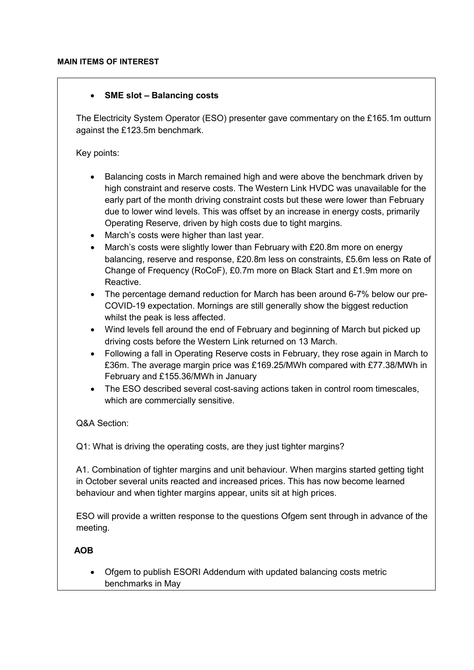### • **SME slot – Balancing costs**

The Electricity System Operator (ESO) presenter gave commentary on the £165.1m outturn against the £123.5m benchmark.

Key points:

- Balancing costs in March remained high and were above the benchmark driven by high constraint and reserve costs. The Western Link HVDC was unavailable for the early part of the month driving constraint costs but these were lower than February due to lower wind levels. This was offset by an increase in energy costs, primarily Operating Reserve, driven by high costs due to tight margins.
- March's costs were higher than last year.
- March's costs were slightly lower than February with £20.8m more on energy balancing, reserve and response, £20.8m less on constraints, £5.6m less on Rate of Change of Frequency (RoCoF), £0.7m more on Black Start and £1.9m more on Reactive.
- The percentage demand reduction for March has been around 6-7% below our pre-COVID-19 expectation. Mornings are still generally show the biggest reduction whilst the peak is less affected.
- Wind levels fell around the end of February and beginning of March but picked up driving costs before the Western Link returned on 13 March.
- Following a fall in Operating Reserve costs in February, they rose again in March to £36m. The average margin price was £169.25/MWh compared with £77.38/MWh in February and £155.36/MWh in January
- The ESO described several cost-saving actions taken in control room timescales, which are commercially sensitive.

Q&A Section:

Q1: What is driving the operating costs, are they just tighter margins?

A1. Combination of tighter margins and unit behaviour. When margins started getting tight in October several units reacted and increased prices. This has now become learned behaviour and when tighter margins appear, units sit at high prices.

ESO will provide a written response to the questions Ofgem sent through in advance of the meeting.

 **AOB**

• Ofgem to publish ESORI Addendum with updated balancing costs metric benchmarks in May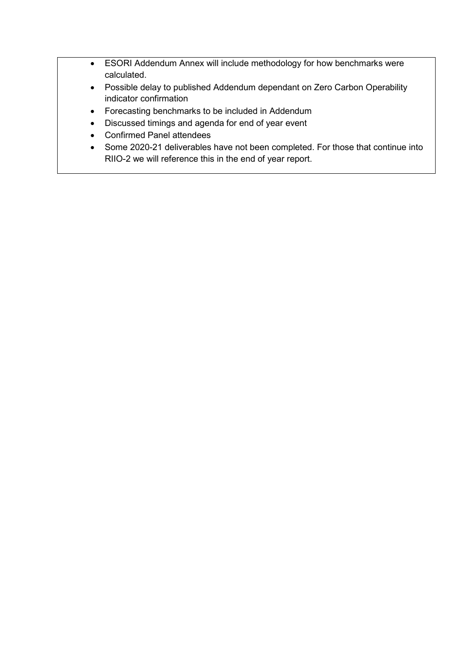- ESORI Addendum Annex will include methodology for how benchmarks were calculated.
- Possible delay to published Addendum dependant on Zero Carbon Operability indicator confirmation
- Forecasting benchmarks to be included in Addendum
- Discussed timings and agenda for end of year event
- Confirmed Panel attendees
- Some 2020-21 deliverables have not been completed. For those that continue into RIIO-2 we will reference this in the end of year report.